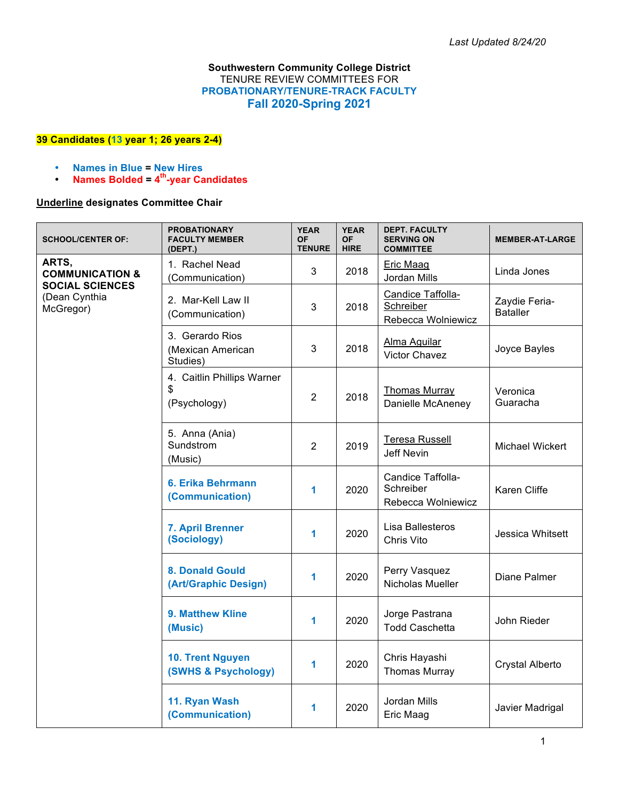## **Southwestern Community College District** TENURE REVIEW COMMITTEES FOR **PROBATIONARY/TENURE-TRACK FACULTY Fall 2020-Spring 2021**

## **39 Candidates (13 year 1; 26 years 2-4)**

- **Names in Blue = New Hires**
- **Names Bolded = 4th-year Candidates**

## **Underline designates Committee Chair**

| <b>SCHOOL/CENTER OF:</b>                                                                    | <b>PROBATIONARY</b><br><b>FACULTY MEMBER</b><br>(DEPT.) | <b>YEAR</b><br><b>OF</b><br><b>TENURE</b> | <b>YEAR</b><br><b>OF</b><br><b>HIRE</b> | <b>DEPT. FACULTY</b><br><b>SERVING ON</b><br><b>COMMITTEE</b> | <b>MEMBER-AT-LARGE</b>           |
|---------------------------------------------------------------------------------------------|---------------------------------------------------------|-------------------------------------------|-----------------------------------------|---------------------------------------------------------------|----------------------------------|
| ARTS,<br><b>COMMUNICATION &amp;</b><br><b>SOCIAL SCIENCES</b><br>(Dean Cynthia<br>McGregor) | 1. Rachel Nead<br>(Communication)                       | 3                                         | 2018                                    | <b>Eric Maag</b><br>Jordan Mills                              | Linda Jones                      |
|                                                                                             | 2. Mar-Kell Law II<br>(Communication)                   | 3                                         | 2018                                    | Candice Taffolla-<br>Schreiber<br>Rebecca Wolniewicz          | Zaydie Feria-<br><b>Bataller</b> |
|                                                                                             | 3. Gerardo Rios<br>(Mexican American<br>Studies)        | 3                                         | 2018                                    | Alma Aguilar<br><b>Victor Chavez</b>                          | Joyce Bayles                     |
|                                                                                             | 4. Caitlin Phillips Warner<br>\$<br>(Psychology)        | $\overline{2}$                            | 2018                                    | <b>Thomas Murray</b><br>Danielle McAneney                     | Veronica<br>Guaracha             |
|                                                                                             | 5. Anna (Ania)<br>Sundstrom<br>(Music)                  | $\overline{2}$                            | 2019                                    | Teresa Russell<br><b>Jeff Nevin</b>                           | Michael Wickert                  |
|                                                                                             | 6. Erika Behrmann<br>(Communication)                    | 1                                         | 2020                                    | Candice Taffolla-<br>Schreiber<br>Rebecca Wolniewicz          | <b>Karen Cliffe</b>              |
|                                                                                             | 7. April Brenner<br>(Sociology)                         | 1                                         | 2020                                    | Lisa Ballesteros<br>Chris Vito                                | Jessica Whitsett                 |
|                                                                                             | <b>8. Donald Gould</b><br>(Art/Graphic Design)          | 1                                         | 2020                                    | Perry Vasquez<br>Nicholas Mueller                             | Diane Palmer                     |
|                                                                                             | 9. Matthew Kline<br>(Music)                             | 1                                         | 2020                                    | Jorge Pastrana<br><b>Todd Caschetta</b>                       | John Rieder                      |
|                                                                                             | 10. Trent Nguyen<br>(SWHS & Psychology)                 | 1                                         | 2020                                    | Chris Hayashi<br><b>Thomas Murray</b>                         | Crystal Alberto                  |
|                                                                                             | 11. Ryan Wash<br>(Communication)                        | 1                                         | 2020                                    | Jordan Mills<br>Eric Maag                                     | Javier Madrigal                  |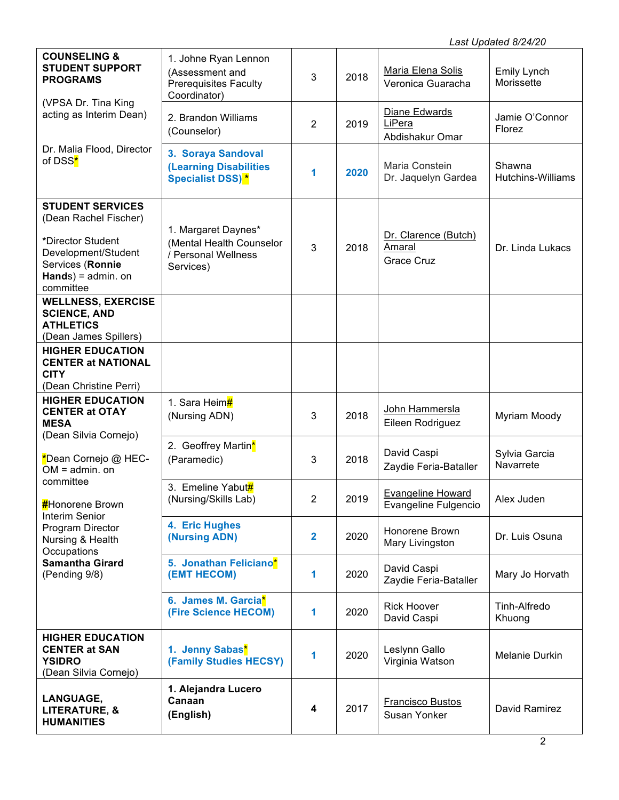| <b>COUNSELING &amp;</b><br><b>STUDENT SUPPORT</b><br><b>PROGRAMS</b>                                                                                            | 1. Johne Ryan Lennon<br>(Assessment and<br>Prerequisites Faculty<br>Coordinator)    | 3              | 2018 | Maria Elena Solis<br>Veronica Guaracha              | Emily Lynch<br>Morissette          |
|-----------------------------------------------------------------------------------------------------------------------------------------------------------------|-------------------------------------------------------------------------------------|----------------|------|-----------------------------------------------------|------------------------------------|
| (VPSA Dr. Tina King<br>acting as Interim Dean)                                                                                                                  | 2. Brandon Williams<br>(Counselor)                                                  | $\overline{2}$ | 2019 | Diane Edwards<br>LiPera<br>Abdishakur Omar          | Jamie O'Connor<br>Florez           |
| Dr. Malia Flood, Director<br>of DSS <sup>*</sup>                                                                                                                | 3. Soraya Sandoval<br><b>(Learning Disabilities</b><br>Specialist DSS) <sup>*</sup> | 1              | 2020 | Maria Constein<br>Dr. Jaquelyn Gardea               | Shawna<br><b>Hutchins-Williams</b> |
| <b>STUDENT SERVICES</b><br>(Dean Rachel Fischer)<br>*Director Student<br>Development/Student<br>Services (Ronnie<br>$Hands$ = admin. on<br>committee            | 1. Margaret Daynes*<br>(Mental Health Counselor<br>/ Personal Wellness<br>Services) | 3              | 2018 | Dr. Clarence (Butch)<br>Amaral<br><b>Grace Cruz</b> | Dr. Linda Lukacs                   |
| <b>WELLNESS, EXERCISE</b><br><b>SCIENCE, AND</b><br><b>ATHLETICS</b><br>(Dean James Spillers)                                                                   |                                                                                     |                |      |                                                     |                                    |
| <b>HIGHER EDUCATION</b><br><b>CENTER at NATIONAL</b><br><b>CITY</b><br>(Dean Christine Perri)                                                                   |                                                                                     |                |      |                                                     |                                    |
| <b>HIGHER EDUCATION</b><br><b>CENTER at OTAY</b><br><b>MESA</b><br>(Dean Silvia Cornejo)                                                                        | 1. Sara Heim#<br>(Nursing ADN)                                                      | 3              | 2018 | John Hammersla<br>Eileen Rodriguez                  | Myriam Moody                       |
| *Dean Cornejo @ HEC-<br>$OM =$ admin. on                                                                                                                        | 2. Geoffrey Martin*<br>(Paramedic)                                                  | 3              | 2018 | David Caspi<br>Zaydie Feria-Bataller                | Sylvia Garcia<br>Navarrete         |
| committee<br><b>#</b> Honorene Brown<br><b>Interim Senior</b><br>Program Director<br>Nursing & Health<br>Occupations<br><b>Samantha Girard</b><br>(Pending 9/8) | 3. Emeline Yabut#<br>(Nursing/Skills Lab)                                           | $\overline{2}$ | 2019 | <b>Evangeline Howard</b><br>Evangeline Fulgencio    | Alex Juden                         |
|                                                                                                                                                                 | 4. Eric Hughes<br>(Nursing ADN)                                                     | $\mathbf{2}$   | 2020 | Honorene Brown<br>Mary Livingston                   | Dr. Luis Osuna                     |
|                                                                                                                                                                 | 5. Jonathan Feliciano*<br>(EMT HECOM)                                               | 1              | 2020 | David Caspi<br>Zaydie Feria-Bataller                | Mary Jo Horvath                    |
|                                                                                                                                                                 | 6. James M. Garcia*<br>(Fire Science HECOM)                                         | 1              | 2020 | <b>Rick Hoover</b><br>David Caspi                   | Tinh-Alfredo<br>Khuong             |
| <b>HIGHER EDUCATION</b><br><b>CENTER at SAN</b><br><b>YSIDRO</b><br>(Dean Silvia Cornejo)                                                                       | 1. Jenny Sabas <sup>*</sup><br>(Family Studies HECSY)                               | 1              | 2020 | Leslynn Gallo<br>Virginia Watson                    | Melanie Durkin                     |
| LANGUAGE,<br>LITERATURE, &<br><b>HUMANITIES</b>                                                                                                                 | 1. Alejandra Lucero<br>Canaan<br>(English)                                          | 4              | 2017 | <b>Francisco Bustos</b><br>Susan Yonker             | David Ramirez                      |